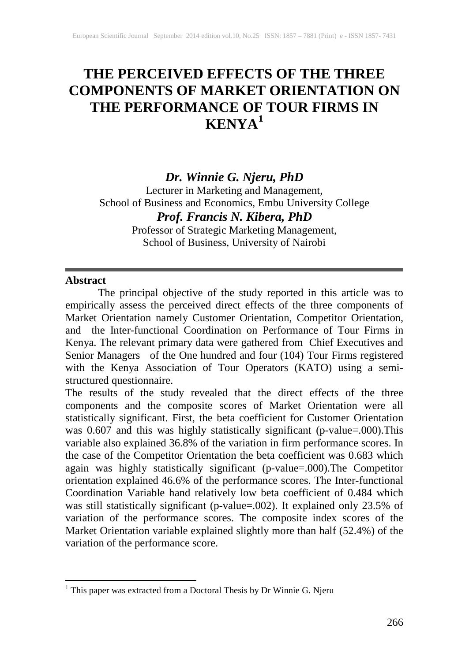# **THE PERCEIVED EFFECTS OF THE THREE COMPONENTS OF MARKET ORIENTATION ON THE PERFORMANCE OF TOUR FIRMS IN KENYA[1](#page-0-0)**

## *Dr. Winnie G. Njeru, PhD*

Lecturer in Marketing and Management, School of Business and Economics, Embu University College *Prof. Francis N. Kibera, PhD*

> Professor of Strategic Marketing Management, School of Business, University of Nairobi

#### **Abstract**

The principal objective of the study reported in this article was to empirically assess the perceived direct effects of the three components of Market Orientation namely Customer Orientation, Competitor Orientation, and the Inter-functional Coordination on Performance of Tour Firms in Kenya. The relevant primary data were gathered from Chief Executives and Senior Managers of the One hundred and four (104) Tour Firms registered with the Kenya Association of Tour Operators (KATO) using a semistructured questionnaire.

The results of the study revealed that the direct effects of the three components and the composite scores of Market Orientation were all statistically significant. First, the beta coefficient for Customer Orientation was 0.607 and this was highly statistically significant (p-value=.000).This variable also explained 36.8% of the variation in firm performance scores. In the case of the Competitor Orientation the beta coefficient was 0.683 which again was highly statistically significant (p-value=.000).The Competitor orientation explained 46.6% of the performance scores. The Inter-functional Coordination Variable hand relatively low beta coefficient of 0.484 which was still statistically significant (p-value=.002). It explained only 23.5% of variation of the performance scores. The composite index scores of the Market Orientation variable explained slightly more than half (52.4%) of the variation of the performance score.

<span id="page-0-0"></span><sup>1</sup> This paper was extracted from a Doctoral Thesis by Dr Winnie G. Njeru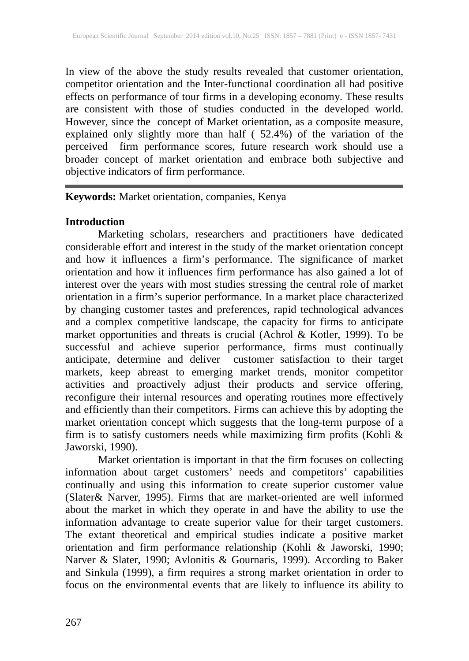In view of the above the study results revealed that customer orientation, competitor orientation and the Inter-functional coordination all had positive effects on performance of tour firms in a developing economy. These results are consistent with those of studies conducted in the developed world. However, since the concept of Market orientation, as a composite measure, explained only slightly more than half ( 52.4%) of the variation of the perceived firm performance scores, future research work should use a broader concept of market orientation and embrace both subjective and objective indicators of firm performance.

## **Keywords:** Market orientation, companies, Kenya

#### **Introduction**

Marketing scholars, researchers and practitioners have dedicated considerable effort and interest in the study of the market orientation concept and how it influences a firm's performance. The significance of market orientation and how it influences firm performance has also gained a lot of interest over the years with most studies stressing the central role of market orientation in a firm's superior performance. In a market place characterized by changing customer tastes and preferences, rapid technological advances and a complex competitive landscape, the capacity for firms to anticipate market opportunities and threats is crucial (Achrol & Kotler, 1999). To be successful and achieve superior performance, firms must continually anticipate, determine and deliver customer satisfaction to their target markets, keep abreast to emerging market trends, monitor competitor activities and proactively adjust their products and service offering, reconfigure their internal resources and operating routines more effectively and efficiently than their competitors. Firms can achieve this by adopting the market orientation concept which suggests that the long-term purpose of a firm is to satisfy customers needs while maximizing firm profits (Kohli  $\&$ Jaworski, 1990).

Market orientation is important in that the firm focuses on collecting information about target customers' needs and competitors' capabilities continually and using this information to create superior customer value (Slater& Narver, 1995). Firms that are market-oriented are well informed about the market in which they operate in and have the ability to use the information advantage to create superior value for their target customers. The extant theoretical and empirical studies indicate a positive market orientation and firm performance relationship (Kohli & Jaworski, 1990; Narver & Slater, 1990; Avlonitis & Gournaris, 1999). According to Baker and Sinkula (1999), a firm requires a strong market orientation in order to focus on the environmental events that are likely to influence its ability to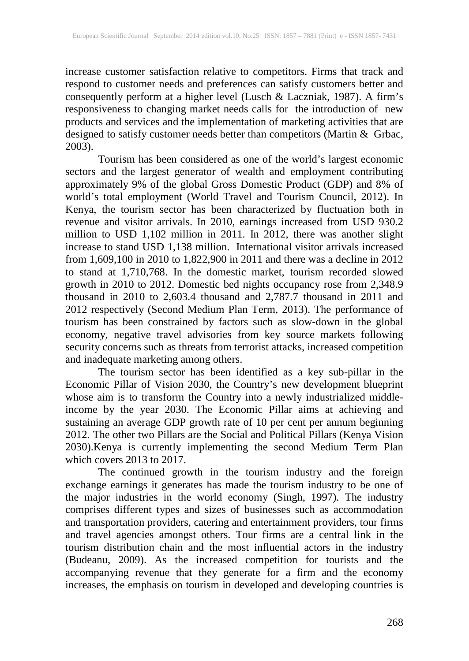increase customer satisfaction relative to competitors. Firms that track and respond to customer needs and preferences can satisfy customers better and consequently perform at a higher level (Lusch & Laczniak, 1987). A firm's responsiveness to changing market needs calls for the introduction of new products and services and the implementation of marketing activities that are designed to satisfy customer needs better than competitors (Martin & Grbac, 2003).

Tourism has been considered as one of the world's largest economic sectors and the largest generator of wealth and employment contributing approximately 9% of the global Gross Domestic Product (GDP) and 8% of world's total employment (World Travel and Tourism Council, 2012). In Kenya, the tourism sector has been characterized by fluctuation both in revenue and visitor arrivals. In 2010, earnings increased from USD 930.2 million to USD 1,102 million in 2011. In 2012, there was another slight increase to stand USD 1,138 million. International visitor arrivals increased from 1,609,100 in 2010 to 1,822,900 in 2011 and there was a decline in 2012 to stand at 1,710,768. In the domestic market, tourism recorded slowed growth in 2010 to 2012. Domestic bed nights occupancy rose from 2,348.9 thousand in 2010 to 2,603.4 thousand and 2,787.7 thousand in 2011 and 2012 respectively (Second Medium Plan Term, 2013). The performance of tourism has been constrained by factors such as slow-down in the global economy, negative travel advisories from key source markets following security concerns such as threats from terrorist attacks, increased competition and inadequate marketing among others.

The tourism sector has been identified as a key sub-pillar in the Economic Pillar of Vision 2030, the Country's new development blueprint whose aim is to transform the Country into a newly industrialized middleincome by the year 2030. The Economic Pillar aims at achieving and sustaining an average GDP growth rate of 10 per cent per annum beginning 2012. The other two Pillars are the Social and Political Pillars (Kenya Vision 2030).Kenya is currently implementing the second Medium Term Plan which covers 2013 to 2017.

The continued growth in the tourism industry and the foreign exchange earnings it generates has made the tourism industry to be one of the major industries in the world economy (Singh, 1997). The industry comprises different types and sizes of businesses such as accommodation and transportation providers, catering and entertainment providers, tour firms and travel agencies amongst others. Tour firms are a central link in the tourism distribution chain and the most influential actors in the industry (Budeanu, 2009). As the increased competition for tourists and the accompanying revenue that they generate for a firm and the economy increases, the emphasis on tourism in developed and developing countries is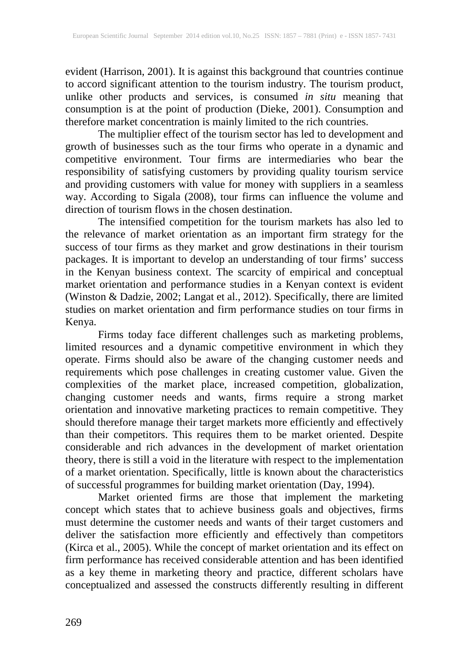evident (Harrison, 2001). It is against this background that countries continue to accord significant attention to the tourism industry. The tourism product, unlike other products and services, is consumed *in situ* meaning that consumption is at the point of production (Dieke, 2001). Consumption and therefore market concentration is mainly limited to the rich countries.

The multiplier effect of the tourism sector has led to development and growth of businesses such as the tour firms who operate in a dynamic and competitive environment. Tour firms are intermediaries who bear the responsibility of satisfying customers by providing quality tourism service and providing customers with value for money with suppliers in a seamless way. According to Sigala (2008), tour firms can influence the volume and direction of tourism flows in the chosen destination.

The intensified competition for the tourism markets has also led to the relevance of market orientation as an important firm strategy for the success of tour firms as they market and grow destinations in their tourism packages. It is important to develop an understanding of tour firms' success in the Kenyan business context. The scarcity of empirical and conceptual market orientation and performance studies in a Kenyan context is evident (Winston & Dadzie, 2002; Langat et al., 2012). Specifically, there are limited studies on market orientation and firm performance studies on tour firms in Kenya.

Firms today face different challenges such as marketing problems, limited resources and a dynamic competitive environment in which they operate. Firms should also be aware of the changing customer needs and requirements which pose challenges in creating customer value. Given the complexities of the market place, increased competition, globalization, changing customer needs and wants, firms require a strong market orientation and innovative marketing practices to remain competitive. They should therefore manage their target markets more efficiently and effectively than their competitors. This requires them to be market oriented. Despite considerable and rich advances in the development of market orientation theory, there is still a void in the literature with respect to the implementation of a market orientation. Specifically, little is known about the characteristics of successful programmes for building market orientation (Day, 1994).

Market oriented firms are those that implement the marketing concept which states that to achieve business goals and objectives, firms must determine the customer needs and wants of their target customers and deliver the satisfaction more efficiently and effectively than competitors (Kirca et al., 2005). While the concept of market orientation and its effect on firm performance has received considerable attention and has been identified as a key theme in marketing theory and practice, different scholars have conceptualized and assessed the constructs differently resulting in different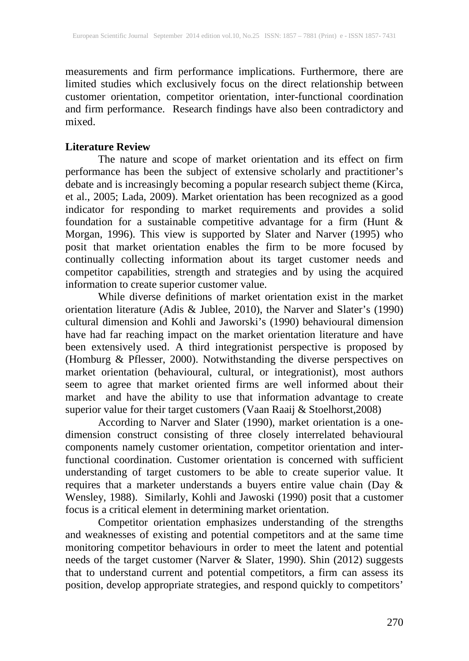measurements and firm performance implications. Furthermore, there are limited studies which exclusively focus on the direct relationship between customer orientation, competitor orientation, inter-functional coordination and firm performance. Research findings have also been contradictory and mixed.

#### **Literature Review**

The nature and scope of market orientation and its effect on firm performance has been the subject of extensive scholarly and practitioner's debate and is increasingly becoming a popular research subject theme (Kirca, et al., 2005; Lada, 2009). Market orientation has been recognized as a good indicator for responding to market requirements and provides a solid foundation for a sustainable competitive advantage for a firm (Hunt & Morgan, 1996). This view is supported by Slater and Narver (1995) who posit that market orientation enables the firm to be more focused by continually collecting information about its target customer needs and competitor capabilities, strength and strategies and by using the acquired information to create superior customer value.

While diverse definitions of market orientation exist in the market orientation literature (Adis & Jublee, 2010), the Narver and Slater's (1990) cultural dimension and Kohli and Jaworski's (1990) behavioural dimension have had far reaching impact on the market orientation literature and have been extensively used. A third integrationist perspective is proposed by (Homburg & Pflesser, 2000). Notwithstanding the diverse perspectives on market orientation (behavioural, cultural, or integrationist), most authors seem to agree that market oriented firms are well informed about their market and have the ability to use that information advantage to create superior value for their target customers (Vaan Raaij & Stoelhorst,2008)

According to Narver and Slater (1990), market orientation is a onedimension construct consisting of three closely interrelated behavioural components namely customer orientation, competitor orientation and interfunctional coordination. Customer orientation is concerned with sufficient understanding of target customers to be able to create superior value. It requires that a marketer understands a buyers entire value chain (Day & Wensley, 1988). Similarly, Kohli and Jawoski (1990) posit that a customer focus is a critical element in determining market orientation.

Competitor orientation emphasizes understanding of the strengths and weaknesses of existing and potential competitors and at the same time monitoring competitor behaviours in order to meet the latent and potential needs of the target customer (Narver & Slater, 1990). Shin (2012) suggests that to understand current and potential competitors, a firm can assess its position, develop appropriate strategies, and respond quickly to competitors'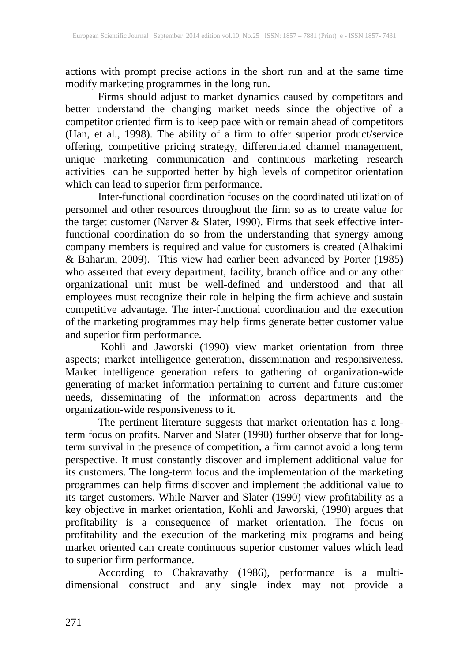actions with prompt precise actions in the short run and at the same time modify marketing programmes in the long run.

Firms should adjust to market dynamics caused by competitors and better understand the changing market needs since the objective of a competitor oriented firm is to keep pace with or remain ahead of competitors (Han, et al., 1998). The ability of a firm to offer superior product/service offering, competitive pricing strategy, differentiated channel management, unique marketing communication and continuous marketing research activities can be supported better by high levels of competitor orientation which can lead to superior firm performance.

Inter-functional coordination focuses on the coordinated utilization of personnel and other resources throughout the firm so as to create value for the target customer (Narver & Slater, 1990). Firms that seek effective interfunctional coordination do so from the understanding that synergy among company members is required and value for customers is created (Alhakimi & Baharun, 2009). This view had earlier been advanced by Porter (1985) who asserted that every department, facility, branch office and or any other organizational unit must be well-defined and understood and that all employees must recognize their role in helping the firm achieve and sustain competitive advantage. The inter-functional coordination and the execution of the marketing programmes may help firms generate better customer value and superior firm performance.

Kohli and Jaworski (1990) view market orientation from three aspects; market intelligence generation, dissemination and responsiveness. Market intelligence generation refers to gathering of organization-wide generating of market information pertaining to current and future customer needs, disseminating of the information across departments and the organization-wide responsiveness to it.

The pertinent literature suggests that market orientation has a longterm focus on profits. Narver and Slater (1990) further observe that for longterm survival in the presence of competition, a firm cannot avoid a long term perspective. It must constantly discover and implement additional value for its customers. The long-term focus and the implementation of the marketing programmes can help firms discover and implement the additional value to its target customers. While Narver and Slater (1990) view profitability as a key objective in market orientation, Kohli and Jaworski, (1990) argues that profitability is a consequence of market orientation. The focus on profitability and the execution of the marketing mix programs and being market oriented can create continuous superior customer values which lead to superior firm performance.

According to Chakravathy (1986), performance is a multidimensional construct and any single index may not provide a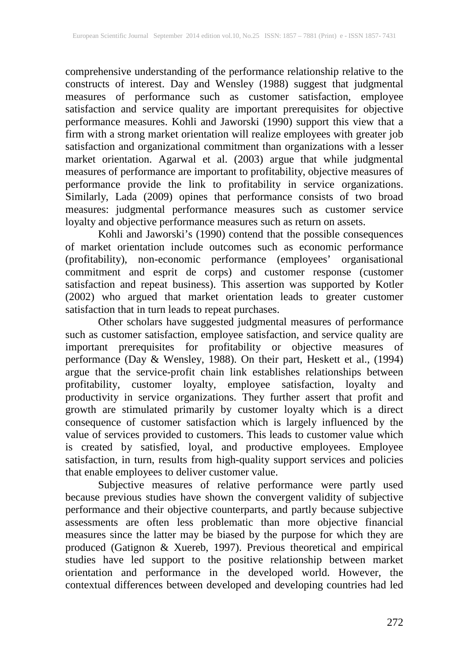comprehensive understanding of the performance relationship relative to the constructs of interest. Day and Wensley (1988) suggest that judgmental measures of performance such as customer satisfaction, employee satisfaction and service quality are important prerequisites for objective performance measures. Kohli and Jaworski (1990) support this view that a firm with a strong market orientation will realize employees with greater job satisfaction and organizational commitment than organizations with a lesser market orientation. Agarwal et al. (2003) argue that while judgmental measures of performance are important to profitability, objective measures of performance provide the link to profitability in service organizations. Similarly, Lada (2009) opines that performance consists of two broad measures: judgmental performance measures such as customer service loyalty and objective performance measures such as return on assets.

Kohli and Jaworski's (1990) contend that the possible consequences of market orientation include outcomes such as economic performance (profitability), non-economic performance (employees' organisational commitment and esprit de corps) and customer response (customer satisfaction and repeat business). This assertion was supported by Kotler (2002) who argued that market orientation leads to greater customer satisfaction that in turn leads to repeat purchases.

Other scholars have suggested judgmental measures of performance such as customer satisfaction, employee satisfaction, and service quality are important prerequisites for profitability or objective measures of performance (Day & Wensley, 1988). On their part, Heskett et al., (1994) argue that the service-profit chain link establishes relationships between profitability, customer loyalty, employee satisfaction, loyalty and productivity in service organizations. They further assert that profit and growth are stimulated primarily by customer loyalty which is a direct consequence of customer satisfaction which is largely influenced by the value of services provided to customers. This leads to customer value which is created by satisfied, loyal, and productive employees. Employee satisfaction, in turn, results from high-quality support services and policies that enable employees to deliver customer value.

Subjective measures of relative performance were partly used because previous studies have shown the convergent validity of subjective performance and their objective counterparts, and partly because subjective assessments are often less problematic than more objective financial measures since the latter may be biased by the purpose for which they are produced (Gatignon & Xuereb, 1997). Previous theoretical and empirical studies have led support to the positive relationship between market orientation and performance in the developed world. However, the contextual differences between developed and developing countries had led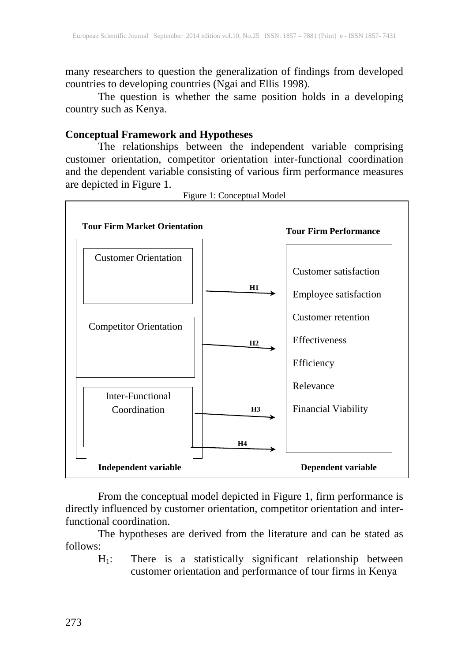many researchers to question the generalization of findings from developed countries to developing countries (Ngai and Ellis 1998).

The question is whether the same position holds in a developing country such as Kenya.

#### **Conceptual Framework and Hypotheses**

The relationships between the independent variable comprising customer orientation, competitor orientation inter-functional coordination and the dependent variable consisting of various firm performance measures are depicted in Figure 1.



Figure 1: Conceptual Model

From the conceptual model depicted in Figure 1, firm performance is directly influenced by customer orientation, competitor orientation and interfunctional coordination.

The hypotheses are derived from the literature and can be stated as follows:

H1: There is a statistically significant relationship between customer orientation and performance of tour firms in Kenya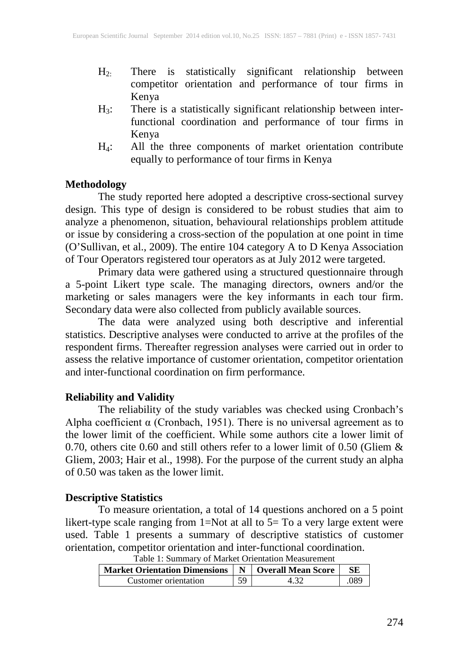- H2: There is statistically significant relationship between competitor orientation and performance of tour firms in Kenya
- H3: There is a statistically significant relationship between interfunctional coordination and performance of tour firms in Kenya
- H4: All the three components of market orientation contribute equally to performance of tour firms in Kenya

#### **Methodology**

The study reported here adopted a descriptive cross-sectional survey design. This type of design is considered to be robust studies that aim to analyze a phenomenon, situation, behavioural relationships problem attitude or issue by considering a cross-section of the population at one point in time (O'Sullivan, et al., 2009). The entire 104 category A to D Kenya Association of Tour Operators registered tour operators as at July 2012 were targeted.

Primary data were gathered using a structured questionnaire through a 5-point Likert type scale. The managing directors, owners and/or the marketing or sales managers were the key informants in each tour firm. Secondary data were also collected from publicly available sources.

The data were analyzed using both descriptive and inferential statistics. Descriptive analyses were conducted to arrive at the profiles of the respondent firms. Thereafter regression analyses were carried out in order to assess the relative importance of customer orientation, competitor orientation and inter-functional coordination on firm performance.

#### **Reliability and Validity**

The reliability of the study variables was checked using Cronbach's Alpha coefficient  $\alpha$  (Cronbach, 1951). There is no universal agreement as to the lower limit of the coefficient. While some authors cite a lower limit of 0.70, others cite 0.60 and still others refer to a lower limit of 0.50 (Gliem & Gliem, 2003; Hair et al., 1998). For the purpose of the current study an alpha of 0.50 was taken as the lower limit.

#### **Descriptive Statistics**

To measure orientation, a total of 14 questions anchored on a 5 point likert-type scale ranging from 1=Not at all to 5= To a very large extent were used. Table 1 presents a summary of descriptive statistics of customer orientation, competitor orientation and inter-functional coordination.

| Table 1: Summary of Market Orientation Measurement                  |    |      |      |  |  |
|---------------------------------------------------------------------|----|------|------|--|--|
| Market Orientation Dimensions   N   Overall Mean Score<br><b>SE</b> |    |      |      |  |  |
| Customer orientation                                                | 59 | 4.32 | .089 |  |  |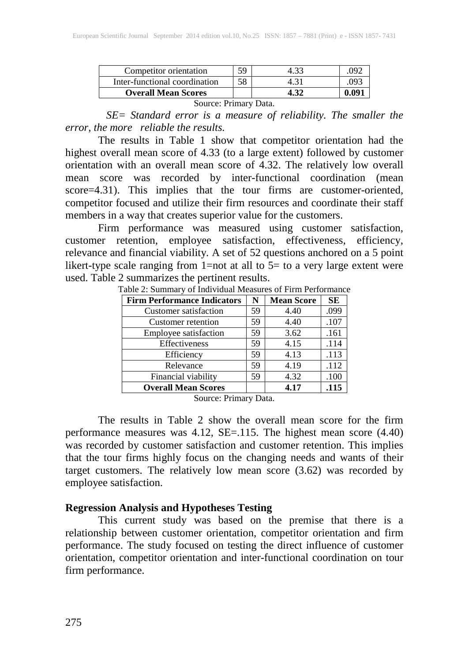| <b>Overall Mean Scores</b>    |  | 4.32 | 0.091 |
|-------------------------------|--|------|-------|
| Inter-functional coordination |  | 4.31 | .093  |
| Competitor orientation        |  |      | 092   |

Source: Primary Data.

 *SE= Standard error is a measure of reliability. The smaller the error, the more reliable the results.*

The results in Table 1 show that competitor orientation had the highest overall mean score of 4.33 (to a large extent) followed by customer orientation with an overall mean score of 4.32. The relatively low overall mean score was recorded by inter-functional coordination (mean score=4.31). This implies that the tour firms are customer-oriented, competitor focused and utilize their firm resources and coordinate their staff members in a way that creates superior value for the customers.

Firm performance was measured using customer satisfaction, customer retention, employee satisfaction, effectiveness, efficiency, relevance and financial viability. A set of 52 questions anchored on a 5 point likert-type scale ranging from 1=not at all to  $5=$  to a very large extent were used. Table 2 summarizes the pertinent results.

| <b>Firm Performance Indicators</b> | N  | <b>Mean Score</b> | <b>SE</b> |
|------------------------------------|----|-------------------|-----------|
| Customer satisfaction              | 59 | 4.40              | .099      |
| Customer retention                 | 59 | 4.40              | .107      |
| Employee satisfaction              | 59 | 3.62              | .161      |
| Effectiveness                      | 59 | 4.15              | .114      |
| Efficiency                         |    | 4.13              | .113      |
| Relevance                          |    | 4.19              | .112      |
| Financial viability                |    | 4.32              | .100      |
| <b>Overall Mean Scores</b>         |    | 4.17              | .115      |

Table 2: Summary of Individual Measures of Firm Performance

Source: Primary Data.

The results in Table 2 show the overall mean score for the firm performance measures was 4.12, SE=.115. The highest mean score (4.40) was recorded by customer satisfaction and customer retention. This implies that the tour firms highly focus on the changing needs and wants of their target customers. The relatively low mean score (3.62) was recorded by employee satisfaction.

#### **Regression Analysis and Hypotheses Testing**

This current study was based on the premise that there is a relationship between customer orientation, competitor orientation and firm performance. The study focused on testing the direct influence of customer orientation, competitor orientation and inter-functional coordination on tour firm performance.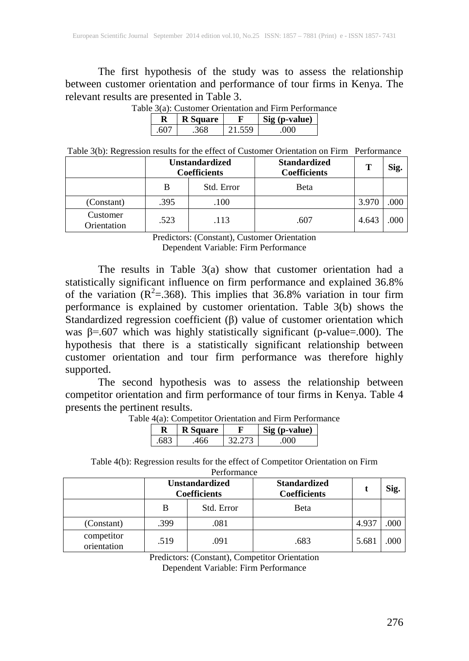The first hypothesis of the study was to assess the relationship between customer orientation and performance of tour firms in Kenya. The relevant results are presented in Table 3.

| ле этат. Симоніст Отісніанон ани і пін і сітогін |                 |        |               |  |  |  |
|--------------------------------------------------|-----------------|--------|---------------|--|--|--|
|                                                  | <b>R</b> Square |        | Sig (p-value) |  |  |  |
| 607                                              | 368             | 21.559 | റററ           |  |  |  |

Table 3(a): Customer Orientation and Firm Performance

Table 3(b): Regression results for the effect of Customer Orientation on Firm Performance

|                         | <b>Unstandardized</b><br><b>Coefficients</b> |            | <b>Standardized</b><br><b>Coefficients</b> | Т     | Sig. |
|-------------------------|----------------------------------------------|------------|--------------------------------------------|-------|------|
|                         | В                                            | Std. Error | Beta                                       |       |      |
| (Constant)              | .395                                         | .100       |                                            | 3.970 | .000 |
| Customer<br>Orientation | .523                                         | .113       | .607                                       | 4.643 | .000 |

Predictors: (Constant), Customer Orientation Dependent Variable: Firm Performance

The results in Table 3(a) show that customer orientation had a statistically significant influence on firm performance and explained 36.8% of the variation ( $R^2$ =.368). This implies that 36.8% variation in tour firm performance is explained by customer orientation. Table 3(b) shows the Standardized regression coefficient (β) value of customer orientation which was  $\beta$ =.607 which was highly statistically significant (p-value=.000). The hypothesis that there is a statistically significant relationship between customer orientation and tour firm performance was therefore highly supported.

The second hypothesis was to assess the relationship between competitor orientation and firm performance of tour firms in Kenya. Table 4 presents the pertinent results.

|     |                 | $\mathbf{u}$ , competitor orientation and ruling exporting |  |
|-----|-----------------|------------------------------------------------------------|--|
|     | <b>R</b> Square | Sig (p-value)                                              |  |
| 683 | 166             | ገበበ                                                        |  |

Table 4(a): Competitor Orientation and Firm Performance

Table 4(b): Regression results for the effect of Competitor Orientation on Firm

|                           | <b>Unstandardized</b><br><b>Coefficients</b> |      | <b>Standardized</b><br><b>Coefficients</b> |       |      | Sig. |
|---------------------------|----------------------------------------------|------|--------------------------------------------|-------|------|------|
|                           | Std. Error<br>В                              |      | Beta                                       |       |      |      |
| (Constant)                | .399                                         | .081 |                                            | 4.937 | .000 |      |
| competitor<br>orientation | .519                                         | .091 | .683                                       | 5.681 | 000  |      |

Predictors: (Constant), Competitor Orientation Dependent Variable: Firm Performance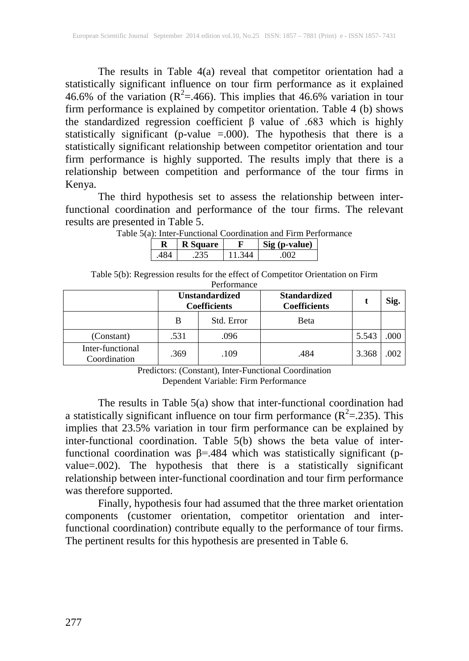The results in Table 4(a) reveal that competitor orientation had a statistically significant influence on tour firm performance as it explained 46.6% of the variation ( $R^2 = 466$ ). This implies that 46.6% variation in tour firm performance is explained by competitor orientation. Table 4 (b) shows the standardized regression coefficient  $\beta$  value of .683 which is highly statistically significant (p-value =.000). The hypothesis that there is a statistically significant relationship between competitor orientation and tour firm performance is highly supported. The results imply that there is a relationship between competition and performance of the tour firms in Kenya.

The third hypothesis set to assess the relationship between interfunctional coordination and performance of the tour firms. The relevant results are presented in Table 5.<br>Table 5(a): Inter-Function  $\frac{1}{2}$  ordination and Firm Performance

|  |               | yan mici 1 anchonal coolumation and I mill I cl |
|--|---------------|-------------------------------------------------|
|  | <b>Square</b> | Sig ( <i>p</i> -value)                          |
|  |               |                                                 |

|  | ble 5(a): Inter-Functional Coordination and Firm Performanc             |  |                                           |  |
|--|-------------------------------------------------------------------------|--|-------------------------------------------|--|
|  | $\mathbf{D}$   $\mathbf{D}$ $\mathbf{C}_{\alpha}$ = $\alpha$ = $\alpha$ |  | $\Gamma = \mathbb{C}^1$ $\sim$ (n reduce) |  |

| Table 5(b): Regression results for the effect of Competitor Orientation on Firm |
|---------------------------------------------------------------------------------|
| Performance                                                                     |

|                                  | <b>Unstandardized</b><br><b>Coefficients</b> |            | <b>Standardized</b><br><b>Coefficients</b> |       | Sig. |
|----------------------------------|----------------------------------------------|------------|--------------------------------------------|-------|------|
|                                  | B                                            | Std. Error | Beta                                       |       |      |
| (Constant)                       | .531                                         | .096       |                                            | 5.543 | .000 |
| Inter-functional<br>Coordination | .369                                         | .109       | .484                                       | 3.368 | 002  |

Predictors: (Constant), Inter-Functional Coordination Dependent Variable: Firm Performance

The results in Table 5(a) show that inter-functional coordination had a statistically significant influence on tour firm performance  $(R^2 = 0.235)$ . This implies that 23.5% variation in tour firm performance can be explained by inter-functional coordination. Table 5(b) shows the beta value of interfunctional coordination was β=.484 which was statistically significant (pvalue=.002). The hypothesis that there is a statistically significant relationship between inter-functional coordination and tour firm performance was therefore supported.

Finally, hypothesis four had assumed that the three market orientation components (customer orientation, competitor orientation and interfunctional coordination) contribute equally to the performance of tour firms. The pertinent results for this hypothesis are presented in Table 6.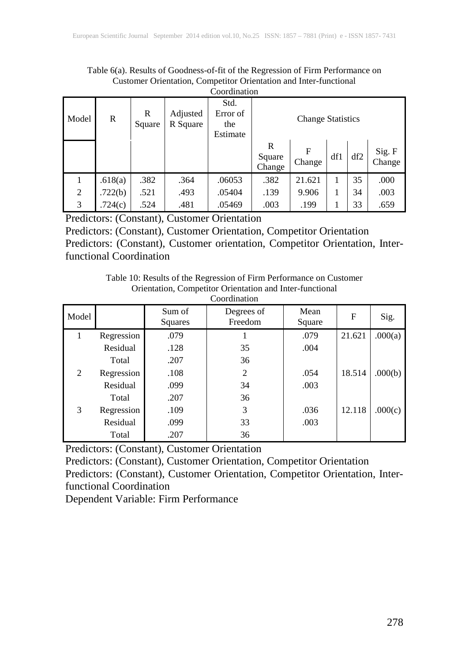Table 6(a). Results of Goodness-of-fit of the Regression of Firm Performance on Customer Orientation, Competitor Orientation and Inter-functional Coordination

| ~~~~~          |              |             |                      |                                     |                          |             |     |     |                  |
|----------------|--------------|-------------|----------------------|-------------------------------------|--------------------------|-------------|-----|-----|------------------|
| Model          | $\mathbf{R}$ | R<br>Square | Adjusted<br>R Square | Std.<br>Error of<br>the<br>Estimate | <b>Change Statistics</b> |             |     |     |                  |
|                |              |             |                      |                                     | R<br>Square<br>Change    | F<br>Change | df1 | df2 | Sig. F<br>Change |
|                | .618(a)      | .382        | .364                 | .06053                              | .382                     | 21.621      | 1   | 35  | .000             |
| $\overline{2}$ | .722(b)      | .521        | .493                 | .05404                              | .139                     | 9.906       |     | 34  | .003             |
| 3              | .724(c)      | .524        | .481                 | .05469                              | .003                     | .199        |     | 33  | .659             |

Predictors: (Constant), Customer Orientation

Predictors: (Constant), Customer Orientation, Competitor Orientation Predictors: (Constant), Customer orientation, Competitor Orientation, Interfunctional Coordination

> Table 10: Results of the Regression of Firm Performance on Customer Orientation, Competitor Orientation and Inter-functional Coordination

| coorumanon |            |                   |                       |                |        |         |  |
|------------|------------|-------------------|-----------------------|----------------|--------|---------|--|
| Model      |            | Sum of<br>Squares | Degrees of<br>Freedom | Mean<br>Square | F      | Sig.    |  |
|            | Regression | .079              |                       | .079           | 21.621 | .000(a) |  |
|            | Residual   | .128              | 35                    | .004           |        |         |  |
|            | Total      | .207              | 36                    |                |        |         |  |
| 2          | Regression | .108              | $\overline{2}$        | .054           | 18.514 | .000(b) |  |
|            | Residual   | .099              | 34                    | .003           |        |         |  |
|            | Total      | .207              | 36                    |                |        |         |  |
| 3          | Regression | .109              | 3                     | .036           | 12.118 | .000(c) |  |
|            | Residual   | .099              | 33                    | .003           |        |         |  |
|            | Total      | .207              | 36                    |                |        |         |  |

Predictors: (Constant), Customer Orientation

Predictors: (Constant), Customer Orientation, Competitor Orientation Predictors: (Constant), Customer Orientation, Competitor Orientation, Interfunctional Coordination

Dependent Variable: Firm Performance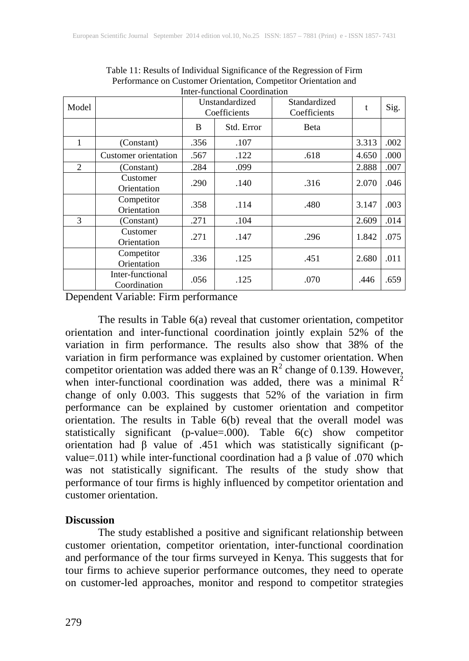| Model |                                  | Unstandardized<br>Coefficients |            | Standardized<br>Coefficients | t     | Sig. |
|-------|----------------------------------|--------------------------------|------------|------------------------------|-------|------|
|       |                                  | B                              | Std. Error | Beta                         |       |      |
| 1     | (Constant)                       | .356                           | .107       |                              | 3.313 | .002 |
|       | Customer orientation             | .567                           | .122       | .618                         | 4.650 | .000 |
| 2     | (Constant)                       | .284                           | .099       |                              | 2.888 | .007 |
|       | Customer<br>Orientation          | .290                           | .140       | .316                         | 2.070 | .046 |
|       | Competitor<br>Orientation        | .358                           | .114       | .480                         | 3.147 | .003 |
| 3     | (Constant)                       | .271                           | .104       |                              | 2.609 | .014 |
|       | Customer<br>Orientation          | .271                           | .147       | .296                         | 1.842 | .075 |
|       | Competitor<br>Orientation        | .336                           | .125       | .451                         | 2.680 | .011 |
|       | Inter-functional<br>Coordination | .056                           | .125       | .070                         | .446  | .659 |

Table 11: Results of Individual Significance of the Regression of Firm Performance on Customer Orientation, Competitor Orientation and Inter-functional Coordination

Dependent Variable: Firm performance

The results in Table 6(a) reveal that customer orientation, competitor orientation and inter-functional coordination jointly explain 52% of the variation in firm performance. The results also show that 38% of the variation in firm performance was explained by customer orientation. When competitor orientation was added there was an  $R^2$  change of 0.139. However, when inter-functional coordination was added, there was a minimal  $R^2$ change of only 0.003. This suggests that 52% of the variation in firm performance can be explained by customer orientation and competitor orientation. The results in Table 6(b) reveal that the overall model was statistically significant (p-value=.000). Table 6(c) show competitor orientation had β value of .451 which was statistically significant (pvalue=.011) while inter-functional coordination had a β value of .070 which was not statistically significant. The results of the study show that performance of tour firms is highly influenced by competitor orientation and customer orientation.

#### **Discussion**

The study established a positive and significant relationship between customer orientation, competitor orientation, inter-functional coordination and performance of the tour firms surveyed in Kenya. This suggests that for tour firms to achieve superior performance outcomes, they need to operate on customer-led approaches, monitor and respond to competitor strategies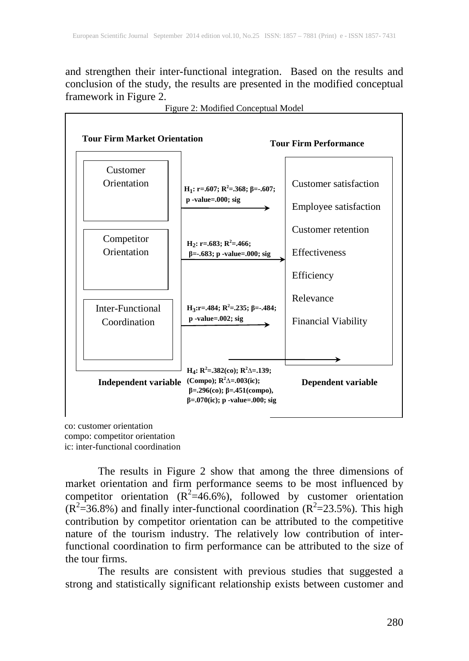and strengthen their inter-functional integration. Based on the results and conclusion of the study, the results are presented in the modified conceptual framework in Figure 2.



Figure 2: Modified Conceptual Model

co: customer orientation compo: competitor orientation ic: inter-functional coordination

The results in Figure 2 show that among the three dimensions of market orientation and firm performance seems to be most influenced by competitor orientation  $(R^2=46.6\%)$ , followed by customer orientation  $(R^2=36.8\%)$  and finally inter-functional coordination  $(R^2=23.5\%)$ . This high contribution by competitor orientation can be attributed to the competitive nature of the tourism industry. The relatively low contribution of interfunctional coordination to firm performance can be attributed to the size of the tour firms.

The results are consistent with previous studies that suggested a strong and statistically significant relationship exists between customer and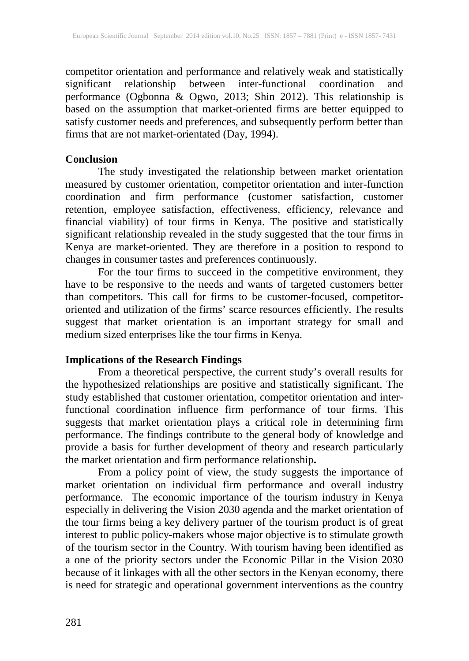competitor orientation and performance and relatively weak and statistically significant relationship between inter-functional coordination and performance (Ogbonna & Ogwo, 2013; Shin 2012). This relationship is based on the assumption that market-oriented firms are better equipped to satisfy customer needs and preferences, and subsequently perform better than firms that are not market-orientated (Day, 1994).

#### **Conclusion**

The study investigated the relationship between market orientation measured by customer orientation, competitor orientation and inter-function coordination and firm performance (customer satisfaction, customer retention, employee satisfaction, effectiveness, efficiency, relevance and financial viability) of tour firms in Kenya. The positive and statistically significant relationship revealed in the study suggested that the tour firms in Kenya are market-oriented. They are therefore in a position to respond to changes in consumer tastes and preferences continuously.

For the tour firms to succeed in the competitive environment, they have to be responsive to the needs and wants of targeted customers better than competitors. This call for firms to be customer-focused, competitororiented and utilization of the firms' scarce resources efficiently. The results suggest that market orientation is an important strategy for small and medium sized enterprises like the tour firms in Kenya.

### **Implications of the Research Findings**

From a theoretical perspective, the current study's overall results for the hypothesized relationships are positive and statistically significant. The study established that customer orientation, competitor orientation and interfunctional coordination influence firm performance of tour firms. This suggests that market orientation plays a critical role in determining firm performance. The findings contribute to the general body of knowledge and provide a basis for further development of theory and research particularly the market orientation and firm performance relationship**.** 

From a policy point of view, the study suggests the importance of market orientation on individual firm performance and overall industry performance. The economic importance of the tourism industry in Kenya especially in delivering the Vision 2030 agenda and the market orientation of the tour firms being a key delivery partner of the tourism product is of great interest to public policy-makers whose major objective is to stimulate growth of the tourism sector in the Country. With tourism having been identified as a one of the priority sectors under the Economic Pillar in the Vision 2030 because of it linkages with all the other sectors in the Kenyan economy, there is need for strategic and operational government interventions as the country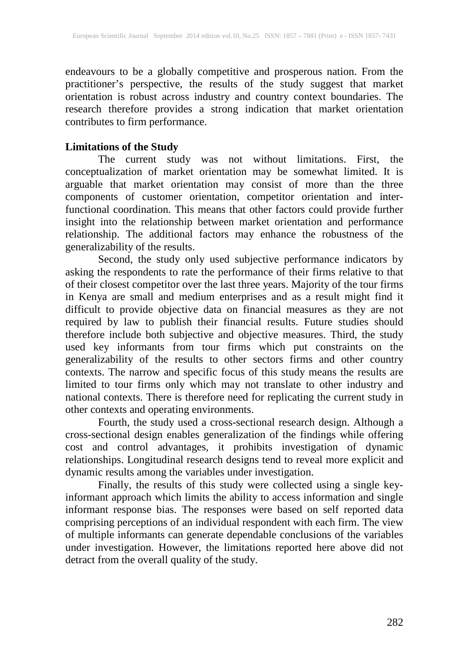endeavours to be a globally competitive and prosperous nation. From the practitioner's perspective, the results of the study suggest that market orientation is robust across industry and country context boundaries. The research therefore provides a strong indication that market orientation contributes to firm performance.

#### **Limitations of the Study**

The current study was not without limitations. First, the conceptualization of market orientation may be somewhat limited. It is arguable that market orientation may consist of more than the three components of customer orientation, competitor orientation and interfunctional coordination. This means that other factors could provide further insight into the relationship between market orientation and performance relationship. The additional factors may enhance the robustness of the generalizability of the results.

Second, the study only used subjective performance indicators by asking the respondents to rate the performance of their firms relative to that of their closest competitor over the last three years. Majority of the tour firms in Kenya are small and medium enterprises and as a result might find it difficult to provide objective data on financial measures as they are not required by law to publish their financial results. Future studies should therefore include both subjective and objective measures. Third, the study used key informants from tour firms which put constraints on the generalizability of the results to other sectors firms and other country contexts. The narrow and specific focus of this study means the results are limited to tour firms only which may not translate to other industry and national contexts. There is therefore need for replicating the current study in other contexts and operating environments.

Fourth, the study used a cross-sectional research design. Although a cross-sectional design enables generalization of the findings while offering cost and control advantages, it prohibits investigation of dynamic relationships. Longitudinal research designs tend to reveal more explicit and dynamic results among the variables under investigation.

Finally, the results of this study were collected using a single keyinformant approach which limits the ability to access information and single informant response bias. The responses were based on self reported data comprising perceptions of an individual respondent with each firm. The view of multiple informants can generate dependable conclusions of the variables under investigation. However, the limitations reported here above did not detract from the overall quality of the study.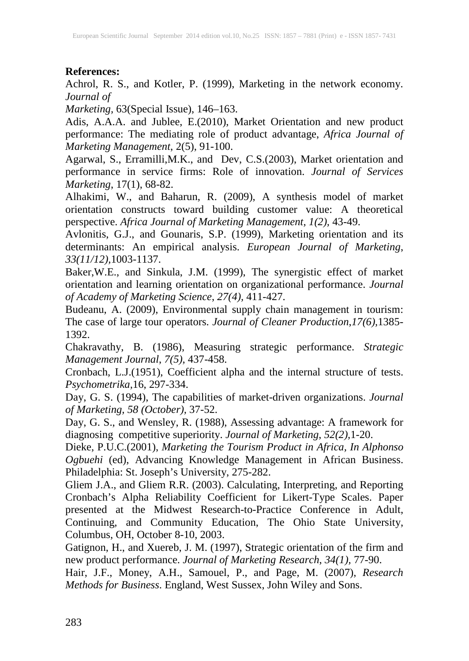#### **References:**

Achrol, R. S., and Kotler, P. (1999), Marketing in the network economy. *Journal of* 

*Marketing,* 63(Special Issue), 146–163.

Adis, A.A.A. and Jublee, E.(2010), Market Orientation and new product performance: The mediating role of product advantage, *Africa Journal of Marketing Management*, 2(5), 91-100.

Agarwal, S., Erramilli,M.K., and Dev, C.S.(2003), Market orientation and performance in service firms: Role of innovation. *Journal of Services Marketing*, 17(1), 68-82.

Alhakimi, W., and Baharun, R. (2009), A synthesis model of market orientation constructs toward building customer value: A theoretical perspective. *Africa Journal of Marketing Management, 1(2),* 43-49.

Avlonitis, G.J., and Gounaris, S.P. (1999), Marketing orientation and its determinants: An empirical analysis. *European Journal of Marketing*, *33(11/12),*1003-1137.

Baker,W.E., and Sinkula, J.M. (1999), The synergistic effect of market orientation and learning orientation on organizational performance. *Journal of Academy of Marketing Science*, *27(4),* 411-427.

Budeanu, A. (2009), Environmental supply chain management in tourism: The case of large tour operators. *Journal of Cleaner Production*,*17(6),*1385- 1392.

Chakravathy, B. (1986), Measuring strategic performance. *Strategic Management Journal*, *7(5),* 437-458.

Cronbach, L.J.(1951), Coefficient alpha and the internal structure of tests. *Psychometrika,*16, 297-334.

Day, G. S. (1994), The capabilities of market-driven organizations. *Journal of Marketing, 58 (October),* 37-52.

Day, G. S., and Wensley, R. (1988), Assessing advantage: A framework for diagnosing competitive superiority. *Journal of Marketing*, *52(2),*1-20.

Dieke, P.U.C.(2001), *Marketing the Tourism Product in Africa, In Alphonso Ogbuehi* (ed), Advancing Knowledge Management in African Business. Philadelphia: St. Joseph's University, 275-282.

Gliem J.A., and Gliem R.R. (2003). Calculating, Interpreting, and Reporting Cronbach's Alpha Reliability Coefficient for Likert-Type Scales. Paper presented at the Midwest Research-to-Practice Conference in Adult, Continuing, and Community Education, The Ohio State University, Columbus, OH, October 8-10, 2003.

Gatignon, H., and Xuereb, J. M. (1997), Strategic orientation of the firm and new product performance. *Journal of Marketing Research*, *34(1),* 77-90.

Hair, J.F., Money, A.H., Samouel, P., and Page, M. (2007), *Research Methods for Business*. England, West Sussex, John Wiley and Sons.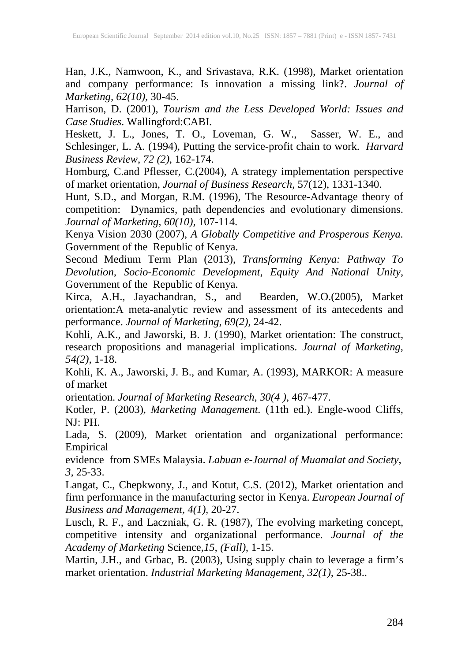Han, J.K., Namwoon, K., and Srivastava, R.K. (1998), Market orientation and company performance: Is innovation a missing link?. *Journal of Marketing, 62(10),* 30-45.

Harrison, D. (2001), *Tourism and the Less Developed World: Issues and Case Studies*. Wallingford:CABI.

Heskett, J. L., Jones, T. O., Loveman, G. W., Sasser, W. E., and Schlesinger, L. A. (1994), Putting the service-profit chain to work. *Harvard Business Review*, *72 (2)*, 162-174.

Homburg, C.and Pflesser, C.(2004), A strategy implementation perspective of market orientation, *Journal of Business Research,* 57(12), 1331-1340.

Hunt, S.D., and Morgan, R.M. (1996), The Resource-Advantage theory of competition: Dynamics, path dependencies and evolutionary dimensions. *Journal of Marketing, 60(10),* 107-114.

Kenya Vision 2030 (2007), *A Globally Competitive and Prosperous Kenya.*  Government of the Republic of Kenya.

Second Medium Term Plan (2013), *Transforming Kenya: Pathway To Devolution, Socio-Economic Development, Equity And National Unity*, Government of the Republic of Kenya.

Kirca, A.H., Jayachandran, S., and Bearden, W.O.(2005), Market orientation:A meta-analytic review and assessment of its antecedents and performance. *Journal of Marketing*, *69(2),* 24-42.

Kohli, A.K., and Jaworski, B. J. (1990), Market orientation: The construct, research propositions and managerial implications. *Journal of Marketing*, *54(2),* 1-18.

Kohli, K. A., Jaworski, J. B., and Kumar, A. (1993), MARKOR: A measure of market

orientation. *Journal of Marketing Research, 30(4 ),* 467-477.

Kotler, P. (2003), *Marketing Management.* (11th ed.). Engle-wood Cliffs, NJ: PH.

Lada, S. (2009), Market orientation and organizational performance: Empirical

evidence from SMEs Malaysia. *Labuan e-Journal of Muamalat and Society*, *3,* 25-33.

Langat, C., Chepkwony, J., and Kotut, C.S. (2012), Market orientation and firm performance in the manufacturing sector in Kenya. *European Journal of Business and Management, 4(1),* 20-27.

Lusch, R. F., and Laczniak, G. R. (1987), The evolving marketing concept, competitive intensity and organizational performance. *Journal of the Academy of Marketing* Science,*15, (Fall),* 1-15.

Martin, J.H., and Grbac, B. (2003), Using supply chain to leverage a firm's market orientation. *Industrial Marketing Management*, *32(1),* 25-38..